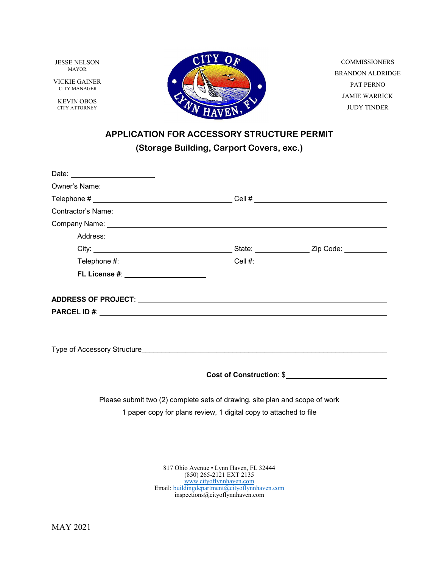JESSE NELSON MAYOR

VICKIE GAINER CITY MANAGER

KEVIN OBOS CITY ATTORNEY



COMMISSIONERS BRANDON ALDRIDGE PAT PERNO JAMIE WARRICK JUDY TINDER

# **APPLICATION FOR ACCESSORY STRUCTURE PERMIT (Storage Building, Carport Covers, exc.)**

| Date: ________________________                                                                                                                                                                                                 |  |                                 |  |
|--------------------------------------------------------------------------------------------------------------------------------------------------------------------------------------------------------------------------------|--|---------------------------------|--|
|                                                                                                                                                                                                                                |  |                                 |  |
|                                                                                                                                                                                                                                |  |                                 |  |
|                                                                                                                                                                                                                                |  |                                 |  |
| Company Name: Law Company Name: Law Company Name: Law Company Name: Law Company Name: Law Company Name: Law Company Name: Law Company Name: Law Company Name: Law Company Name: Law Company Of the University of the Universit |  |                                 |  |
|                                                                                                                                                                                                                                |  |                                 |  |
|                                                                                                                                                                                                                                |  |                                 |  |
|                                                                                                                                                                                                                                |  |                                 |  |
| FL License #: _____________________                                                                                                                                                                                            |  |                                 |  |
|                                                                                                                                                                                                                                |  |                                 |  |
|                                                                                                                                                                                                                                |  |                                 |  |
|                                                                                                                                                                                                                                |  |                                 |  |
|                                                                                                                                                                                                                                |  |                                 |  |
|                                                                                                                                                                                                                                |  |                                 |  |
|                                                                                                                                                                                                                                |  |                                 |  |
|                                                                                                                                                                                                                                |  |                                 |  |
|                                                                                                                                                                                                                                |  | <b>Cost of Construction: \$</b> |  |
|                                                                                                                                                                                                                                |  |                                 |  |
| Please submit two (2) complete sets of drawing, site plan and scope of work                                                                                                                                                    |  |                                 |  |
| 1 paper copy for plans review, 1 digital copy to attached to file                                                                                                                                                              |  |                                 |  |
|                                                                                                                                                                                                                                |  |                                 |  |
|                                                                                                                                                                                                                                |  |                                 |  |
|                                                                                                                                                                                                                                |  |                                 |  |

817 Ohio Avenue • Lynn Haven, FL 32444 (850) 265-2121 EXT 2135 [www.cityoflynnhaven.com](http://www.cityoflynnhaven.com/) Email: [buildingdepartment@cityoflynnhaven.com](mailto:buildingdepartment@cityoflynnhaven.com) inspections@cityoflynnhaven.com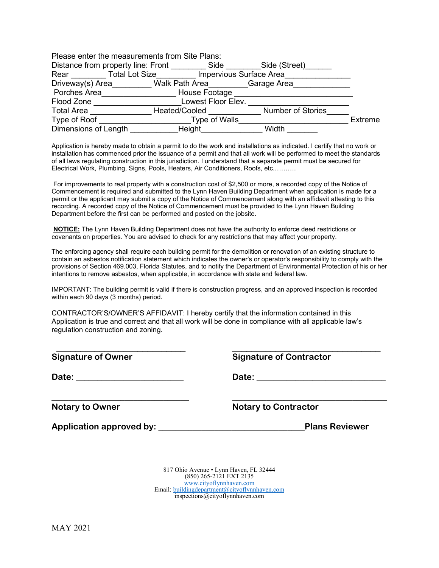| Please enter the measurements from Site Plans: |                |                    |                          |         |
|------------------------------------------------|----------------|--------------------|--------------------------|---------|
| Distance from property line: Front             |                | Side               | Side (Street)            |         |
| <b>Total Lot Size</b><br>Rear                  |                |                    | Impervious Surface Area  |         |
| Driveway(s) Area                               | Walk Path Area |                    | Garage Area              |         |
| Porches Area                                   | House Footage  |                    |                          |         |
| Flood Zone                                     |                | Lowest Floor Elev. |                          |         |
| <b>Total Area</b>                              | Heated/Cooled  |                    | <b>Number of Stories</b> |         |
| Type of Roof                                   |                | Type of Walls      |                          | Extreme |
| Dimensions of Length                           | Height         |                    | Width                    |         |

Application is hereby made to obtain a permit to do the work and installations as indicated. I certify that no work or installation has commenced prior the issuance of a permit and that all work will be performed to meet the standards of all laws regulating construction in this jurisdiction. I understand that a separate permit must be secured for Electrical Work, Plumbing, Signs, Pools, Heaters, Air Conditioners, Roofs, etc.……….

For improvements to real property with a construction cost of \$2,500 or more, a recorded copy of the Notice of Commencement is required and submitted to the Lynn Haven Building Department when application is made for a permit or the applicant may submit a copy of the Notice of Commencement along with an affidavit attesting to this recording. A recorded copy of the Notice of Commencement must be provided to the Lynn Haven Building Department before the first can be performed and posted on the jobsite.

**NOTICE:** The Lynn Haven Building Department does not have the authority to enforce deed restrictions or covenants on properties. You are advised to check for any restrictions that may affect your property.

The enforcing agency shall require each building permit for the demolition or renovation of an existing structure to contain an asbestos notification statement which indicates the owner's or operator's responsibility to comply with the provisions of Section 469.003, Florida Statutes, and to notify the Department of Environmental Protection of his or her intentions to remove asbestos, when applicable, in accordance with state and federal law.

IMPORTANT: The building permit is valid if there is construction progress, and an approved inspection is recorded within each 90 days (3 months) period.

\_\_\_\_\_\_\_\_\_\_\_\_\_\_\_\_\_\_\_\_\_\_\_\_\_\_\_ \_\_\_\_\_\_\_\_\_\_\_\_\_\_\_\_\_\_\_\_\_\_\_\_\_\_\_\_\_\_\_

**\_\_\_\_\_\_\_\_\_\_\_\_\_\_\_\_\_\_\_\_\_\_\_\_\_\_\_\_\_\_\_\_ \_\_\_\_\_\_\_\_\_\_\_\_\_\_\_\_\_\_\_\_\_\_\_\_\_\_\_\_\_\_\_\_\_\_\_\_**

CONTRACTOR'S/OWNER'S AFFIDAVIT: I hereby certify that the information contained in this Application is true and correct and that all work will be done in compliance with all applicable law's regulation construction and zoning.

| <b>Signature of Owner</b> |  |
|---------------------------|--|
|---------------------------|--|

**Date: \_\_\_\_\_\_\_\_\_\_\_\_\_\_\_\_\_\_\_\_\_\_\_\_\_ Date: \_\_\_\_\_\_\_\_\_\_\_\_\_\_\_\_\_\_\_\_\_\_\_\_\_\_\_\_\_\_**

|  |  | <b>Signature of Contractor</b> |  |  |
|--|--|--------------------------------|--|--|
|  |  |                                |  |  |

**Notary to Owner Notary to Contractor**

Application approved by: **Application approved by: Application** approved by: **Application Application Application B** 

817 Ohio Avenue • Lynn Haven, FL 32444 (850) 265-2121 EXT 2135 [www.cityoflynnhaven.com](http://www.cityoflynnhaven.com/) Email[: buildingdepartment@cityoflynnhaven.com](mailto:buildingdepartment@cityoflynnhaven.com) inspections@cityoflynnhaven.com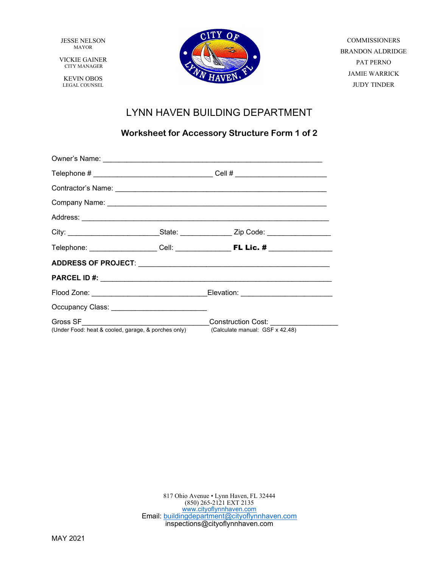JESSE NELSON MAYOR

VICKIE GAINER CITY MANAGER

KEVIN OBOS LEGAL COUNSEL



**COMMISSIONERS** BRANDON ALDRIDGE PAT PERNO JAMIE WARRICK JUDY TINDER

## LYNN HAVEN BUILDING DEPARTMENT

### **Worksheet for Accessory Structure Form 1 of 2**

| Telephone # __________________________________Cell # ___________________________ |                                                                                                     |  |  |
|----------------------------------------------------------------------------------|-----------------------------------------------------------------------------------------------------|--|--|
|                                                                                  |                                                                                                     |  |  |
|                                                                                  |                                                                                                     |  |  |
|                                                                                  |                                                                                                     |  |  |
|                                                                                  | City: _______________________________State: _________________Zip Code: ____________________________ |  |  |
|                                                                                  |                                                                                                     |  |  |
|                                                                                  |                                                                                                     |  |  |
|                                                                                  |                                                                                                     |  |  |
|                                                                                  | Flood Zone: ______________________________Elevation: ___________________________                    |  |  |
|                                                                                  |                                                                                                     |  |  |
|                                                                                  | (Under Food: heat & cooled, garage, & porches only) (Calculate manual: GSF x 42.48)                 |  |  |

817 Ohio Avenue • Lynn Haven, FL 32444 (850) 265-2121 EXT 2135 [www.cityoflynnhaven.com](http://www.cityoflynnhaven.com/) Email: [buildingdepartment@cityoflynnhaven.com](mailto:buildingdepartment@cityoflynnhaven.com) inspections@cityoflynnhaven.com